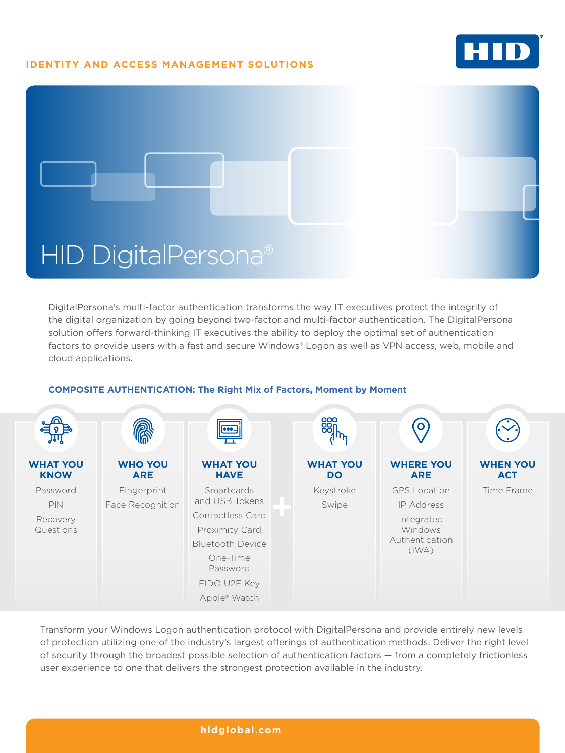## **IDENTITY AND ACCESS MANAGEMENT SOLUTIONS**





DigitalPersona's multi-factor authentication transforms the way IT executives protect the integrity of the digital organization by going beyond two-factor and multi-factor authentication. The DigitalPersona solution offers forward-thinking IT executives the ability to deploy the optimal set of authentication factors to provide users with a fast and secure Windows® Logon as well as VPN access, web, mobile and cloud applications.

#### $\bullet$ **WHAT YOU WHO YOU WHAT YOU WHAT YOU WHERE YOU WHEN YOU KNOW ARE HAVE DO ARE ACT** Password Fingerprint Smartcards Keystroke GPS Location Time Frame and USB Tokens PIN Face Recognition Swipe IP Address Contactless Card Recovery Integrated Questions Proximity Card Windows Authentication Bluetooth Device (IWA) One-Time Password FIDO U2F Key Apple® Watch

## **COMPOSITE AUTHENTICATION: The Right Mix of Factors, Moment by Moment**

Transform your Windows Logon authentication protocol with DigitalPersona and provide entirely new levels of protection utilizing one of the industry's largest offerings of authentication methods. Deliver the right level of security through the broadest possible selection of authentication factors — from a completely frictionless user experience to one that delivers the strongest protection available in the industry.

### **[hidglobal.com](http://hid.gl/ZBb)**